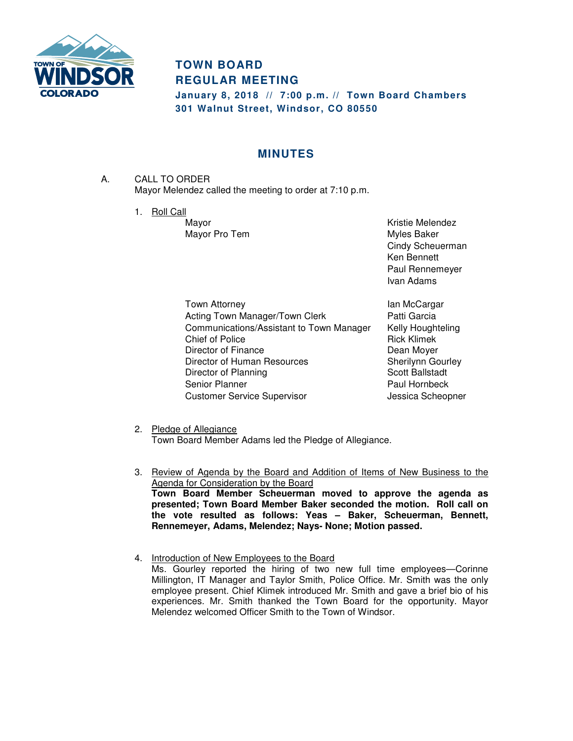

## **TOWN BOARD REGULAR MEETING**

**January 8, 2018 // 7:00 p.m. // Town Board Chambers 301 Walnut Street, Windsor, CO 80550** 

## **MINUTES**

- A. CALL TO ORDER Mayor Melendez called the meeting to order at 7:10 p.m.
	- 1. Roll Call

Mayor **Mayor** Mayor **Mayor** Kristie Melendez Mayor Pro Tem **Myles** Baker Cindy Scheuerman Ken Bennett Paul Rennemeyer Ivan Adams

Town Attorney **Internal Community** Ian McCargar Acting Town Manager/Town Clerk **Patti Garcia** Communications/Assistant to Town Manager Kelly Houghteling Chief of Police **Rick Klimek** Director of Finance Director of American Channel Dean Moyer Director of Human Resources Sherilynn Gourley Director of Planning Scott Ballstadt Senior Planner **Paul Hornbeck** Customer Service Supervisor **Customer Service Supervisor** Jessica Scheopner

- 2. Pledge of Allegiance Town Board Member Adams led the Pledge of Allegiance.
- 3. Review of Agenda by the Board and Addition of Items of New Business to the Agenda for Consideration by the Board **Town Board Member Scheuerman moved to approve the agenda as presented; Town Board Member Baker seconded the motion. Roll call on the vote resulted as follows: Yeas – Baker, Scheuerman, Bennett, Rennemeyer, Adams, Melendez; Nays- None; Motion passed.**
- 4. Introduction of New Employees to the Board Ms. Gourley reported the hiring of two new full time employees—Corinne Millington, IT Manager and Taylor Smith, Police Office. Mr. Smith was the only employee present. Chief Klimek introduced Mr. Smith and gave a brief bio of his experiences. Mr. Smith thanked the Town Board for the opportunity. Mayor Melendez welcomed Officer Smith to the Town of Windsor.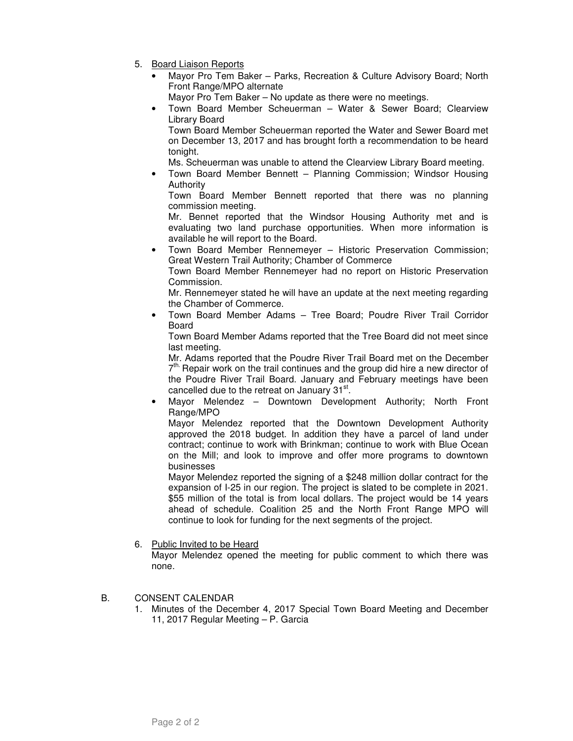- 5. Board Liaison Reports
	- Mayor Pro Tem Baker Parks, Recreation & Culture Advisory Board; North Front Range/MPO alternate
		- Mayor Pro Tem Baker No update as there were no meetings.
	- Town Board Member Scheuerman Water & Sewer Board; Clearview Library Board

Town Board Member Scheuerman reported the Water and Sewer Board met on December 13, 2017 and has brought forth a recommendation to be heard tonight.

Ms. Scheuerman was unable to attend the Clearview Library Board meeting.

• Town Board Member Bennett – Planning Commission; Windsor Housing Authority

Town Board Member Bennett reported that there was no planning commission meeting.

Mr. Bennet reported that the Windsor Housing Authority met and is evaluating two land purchase opportunities. When more information is available he will report to the Board.

• Town Board Member Rennemeyer – Historic Preservation Commission; Great Western Trail Authority; Chamber of Commerce

Town Board Member Rennemeyer had no report on Historic Preservation Commission.

Mr. Rennemeyer stated he will have an update at the next meeting regarding the Chamber of Commerce.

• Town Board Member Adams – Tree Board; Poudre River Trail Corridor Board

Town Board Member Adams reported that the Tree Board did not meet since last meeting.

Mr. Adams reported that the Poudre River Trail Board met on the December 7<sup>th.</sup> Repair work on the trail continues and the group did hire a new director of the Poudre River Trail Board. January and February meetings have been cancelled due to the retreat on January  $31^{st}$ .

• Mayor Melendez – Downtown Development Authority; North Front Range/MPO

Mayor Melendez reported that the Downtown Development Authority approved the 2018 budget. In addition they have a parcel of land under contract; continue to work with Brinkman; continue to work with Blue Ocean on the Mill; and look to improve and offer more programs to downtown businesses

Mayor Melendez reported the signing of a \$248 million dollar contract for the expansion of I-25 in our region. The project is slated to be complete in 2021. \$55 million of the total is from local dollars. The project would be 14 years ahead of schedule. Coalition 25 and the North Front Range MPO will continue to look for funding for the next segments of the project.

6. Public Invited to be Heard

Mayor Melendez opened the meeting for public comment to which there was none.

- B. CONSENT CALENDAR
	- 1. Minutes of the December 4, 2017 Special Town Board Meeting and December 11, 2017 Regular Meeting – P. Garcia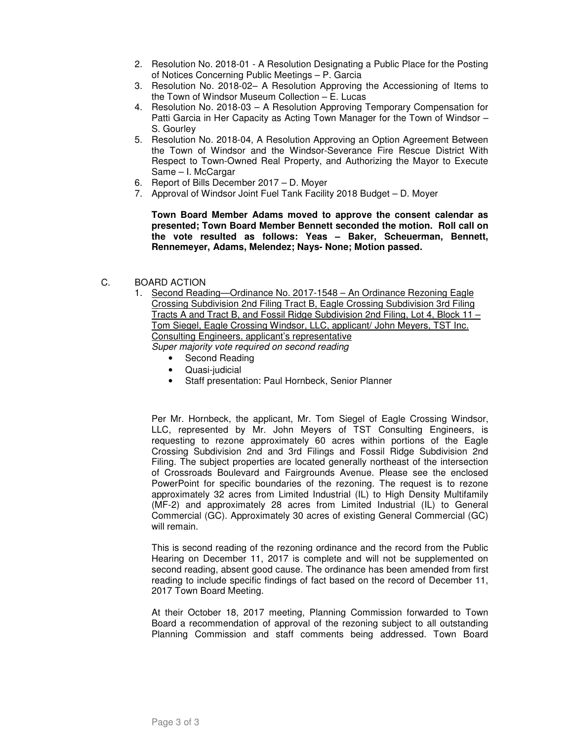- 2. Resolution No. 2018-01 A Resolution Designating a Public Place for the Posting of Notices Concerning Public Meetings – P. Garcia
- 3. Resolution No. 2018-02– A Resolution Approving the Accessioning of Items to the Town of Windsor Museum Collection – E. Lucas
- 4. Resolution No. 2018-03 A Resolution Approving Temporary Compensation for Patti Garcia in Her Capacity as Acting Town Manager for the Town of Windsor – S. Gourley
- 5. Resolution No. 2018-04, A Resolution Approving an Option Agreement Between the Town of Windsor and the Windsor-Severance Fire Rescue District With Respect to Town-Owned Real Property, and Authorizing the Mayor to Execute Same – I. McCargar
- 6. Report of Bills December 2017 D. Moyer
- 7. Approval of Windsor Joint Fuel Tank Facility 2018 Budget D. Moyer

**Town Board Member Adams moved to approve the consent calendar as presented; Town Board Member Bennett seconded the motion. Roll call on the vote resulted as follows: Yeas – Baker, Scheuerman, Bennett, Rennemeyer, Adams, Melendez; Nays- None; Motion passed.** 

- C. BOARD ACTION
	- 1. Second Reading—Ordinance No. 2017-1548 An Ordinance Rezoning Eagle Crossing Subdivision 2nd Filing Tract B, Eagle Crossing Subdivision 3rd Filing Tracts A and Tract B, and Fossil Ridge Subdivision 2nd Filing, Lot 4, Block 11 – Tom Siegel, Eagle Crossing Windsor, LLC, applicant/ John Meyers, TST Inc. Consulting Engineers, applicant's representative Super majority vote required on second reading
		- Second Reading
		- Quasi-judicial
		- Staff presentation: Paul Hornbeck, Senior Planner

Per Mr. Hornbeck, the applicant, Mr. Tom Siegel of Eagle Crossing Windsor, LLC, represented by Mr. John Meyers of TST Consulting Engineers, is requesting to rezone approximately 60 acres within portions of the Eagle Crossing Subdivision 2nd and 3rd Filings and Fossil Ridge Subdivision 2nd Filing. The subject properties are located generally northeast of the intersection of Crossroads Boulevard and Fairgrounds Avenue. Please see the enclosed PowerPoint for specific boundaries of the rezoning. The request is to rezone approximately 32 acres from Limited Industrial (IL) to High Density Multifamily (MF-2) and approximately 28 acres from Limited Industrial (IL) to General Commercial (GC). Approximately 30 acres of existing General Commercial (GC) will remain.

This is second reading of the rezoning ordinance and the record from the Public Hearing on December 11, 2017 is complete and will not be supplemented on second reading, absent good cause. The ordinance has been amended from first reading to include specific findings of fact based on the record of December 11, 2017 Town Board Meeting.

At their October 18, 2017 meeting, Planning Commission forwarded to Town Board a recommendation of approval of the rezoning subject to all outstanding Planning Commission and staff comments being addressed. Town Board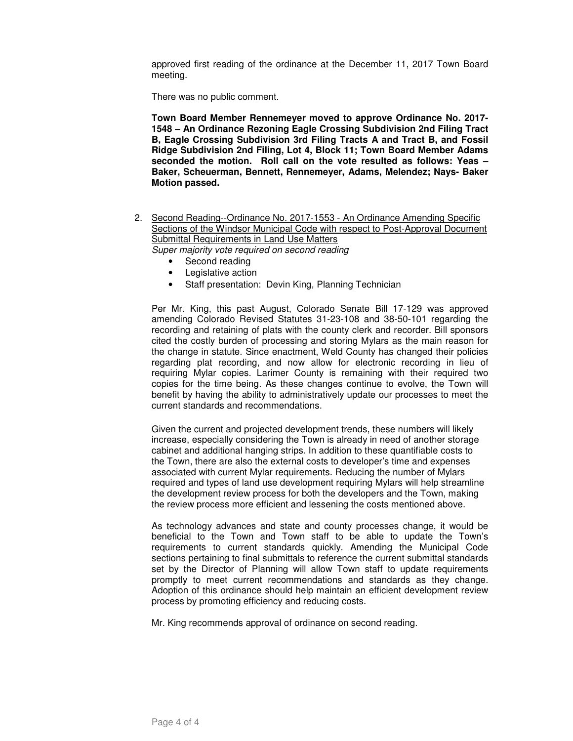approved first reading of the ordinance at the December 11, 2017 Town Board meeting.

There was no public comment.

**Town Board Member Rennemeyer moved to approve Ordinance No. 2017- 1548 – An Ordinance Rezoning Eagle Crossing Subdivision 2nd Filing Tract B, Eagle Crossing Subdivision 3rd Filing Tracts A and Tract B, and Fossil Ridge Subdivision 2nd Filing, Lot 4, Block 11; Town Board Member Adams seconded the motion. Roll call on the vote resulted as follows: Yeas – Baker, Scheuerman, Bennett, Rennemeyer, Adams, Melendez; Nays- Baker Motion passed.** 

- 2. Second Reading--Ordinance No. 2017-1553 An Ordinance Amending Specific Sections of the Windsor Municipal Code with respect to Post-Approval Document Submittal Requirements in Land Use Matters Super majority vote required on second reading
	- Second reading
	- Legislative action
	- Staff presentation: Devin King, Planning Technician

Per Mr. King, this past August, Colorado Senate Bill 17-129 was approved amending Colorado Revised Statutes 31-23-108 and 38-50-101 regarding the recording and retaining of plats with the county clerk and recorder. Bill sponsors cited the costly burden of processing and storing Mylars as the main reason for the change in statute. Since enactment, Weld County has changed their policies regarding plat recording, and now allow for electronic recording in lieu of requiring Mylar copies. Larimer County is remaining with their required two copies for the time being. As these changes continue to evolve, the Town will benefit by having the ability to administratively update our processes to meet the current standards and recommendations.

Given the current and projected development trends, these numbers will likely increase, especially considering the Town is already in need of another storage cabinet and additional hanging strips. In addition to these quantifiable costs to the Town, there are also the external costs to developer's time and expenses associated with current Mylar requirements. Reducing the number of Mylars required and types of land use development requiring Mylars will help streamline the development review process for both the developers and the Town, making the review process more efficient and lessening the costs mentioned above.

As technology advances and state and county processes change, it would be beneficial to the Town and Town staff to be able to update the Town's requirements to current standards quickly. Amending the Municipal Code sections pertaining to final submittals to reference the current submittal standards set by the Director of Planning will allow Town staff to update requirements promptly to meet current recommendations and standards as they change. Adoption of this ordinance should help maintain an efficient development review process by promoting efficiency and reducing costs.

Mr. King recommends approval of ordinance on second reading.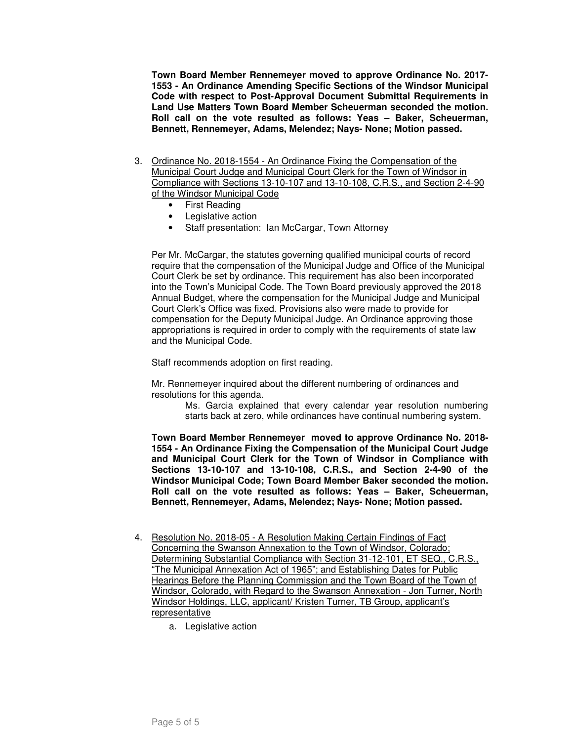**Town Board Member Rennemeyer moved to approve Ordinance No. 2017- 1553 - An Ordinance Amending Specific Sections of the Windsor Municipal Code with respect to Post-Approval Document Submittal Requirements in Land Use Matters Town Board Member Scheuerman seconded the motion. Roll call on the vote resulted as follows: Yeas – Baker, Scheuerman, Bennett, Rennemeyer, Adams, Melendez; Nays- None; Motion passed.** 

- 3. Ordinance No. 2018-1554 An Ordinance Fixing the Compensation of the Municipal Court Judge and Municipal Court Clerk for the Town of Windsor in Compliance with Sections 13-10-107 and 13-10-108, C.R.S., and Section 2-4-90 of the Windsor Municipal Code
	- First Reading
	- Legislative action
	- Staff presentation: Ian McCargar, Town Attorney

Per Mr. McCargar, the statutes governing qualified municipal courts of record require that the compensation of the Municipal Judge and Office of the Municipal Court Clerk be set by ordinance. This requirement has also been incorporated into the Town's Municipal Code. The Town Board previously approved the 2018 Annual Budget, where the compensation for the Municipal Judge and Municipal Court Clerk's Office was fixed. Provisions also were made to provide for compensation for the Deputy Municipal Judge. An Ordinance approving those appropriations is required in order to comply with the requirements of state law and the Municipal Code.

Staff recommends adoption on first reading.

Mr. Rennemeyer inquired about the different numbering of ordinances and resolutions for this agenda.

> Ms. Garcia explained that every calendar year resolution numbering starts back at zero, while ordinances have continual numbering system.

**Town Board Member Rennemeyer moved to approve Ordinance No. 2018- 1554 - An Ordinance Fixing the Compensation of the Municipal Court Judge and Municipal Court Clerk for the Town of Windsor in Compliance with Sections 13-10-107 and 13-10-108, C.R.S., and Section 2-4-90 of the Windsor Municipal Code; Town Board Member Baker seconded the motion. Roll call on the vote resulted as follows: Yeas – Baker, Scheuerman, Bennett, Rennemeyer, Adams, Melendez; Nays- None; Motion passed.** 

- 4. Resolution No. 2018-05 A Resolution Making Certain Findings of Fact Concerning the Swanson Annexation to the Town of Windsor, Colorado; Determining Substantial Compliance with Section 31-12-101, ET SEQ., C.R.S., "The Municipal Annexation Act of 1965"; and Establishing Dates for Public Hearings Before the Planning Commission and the Town Board of the Town of Windsor, Colorado, with Regard to the Swanson Annexation - Jon Turner, North Windsor Holdings, LLC, applicant/ Kristen Turner, TB Group, applicant's **representative** 
	- a. Legislative action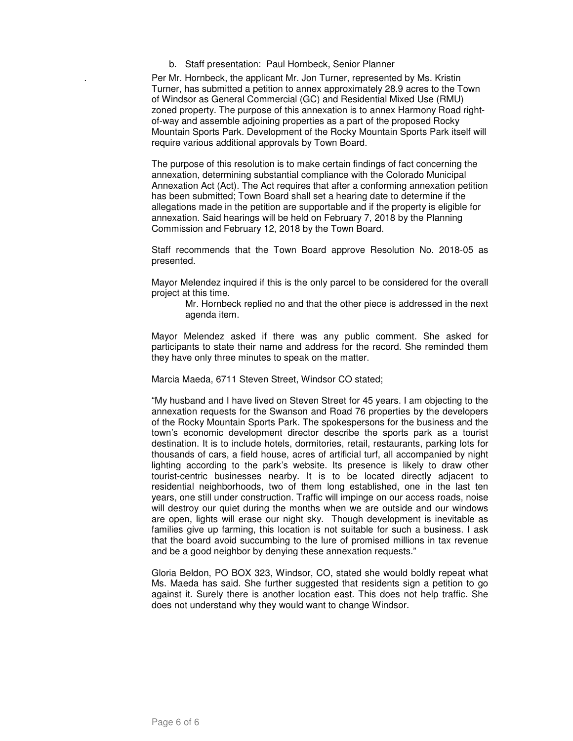b. Staff presentation: Paul Hornbeck, Senior Planner

. Per Mr. Hornbeck, the applicant Mr. Jon Turner, represented by Ms. Kristin Turner, has submitted a petition to annex approximately 28.9 acres to the Town of Windsor as General Commercial (GC) and Residential Mixed Use (RMU) zoned property. The purpose of this annexation is to annex Harmony Road rightof-way and assemble adjoining properties as a part of the proposed Rocky Mountain Sports Park. Development of the Rocky Mountain Sports Park itself will require various additional approvals by Town Board.

The purpose of this resolution is to make certain findings of fact concerning the annexation, determining substantial compliance with the Colorado Municipal Annexation Act (Act). The Act requires that after a conforming annexation petition has been submitted; Town Board shall set a hearing date to determine if the allegations made in the petition are supportable and if the property is eligible for annexation. Said hearings will be held on February 7, 2018 by the Planning Commission and February 12, 2018 by the Town Board.

Staff recommends that the Town Board approve Resolution No. 2018-05 as presented.

Mayor Melendez inquired if this is the only parcel to be considered for the overall project at this time.

Mr. Hornbeck replied no and that the other piece is addressed in the next agenda item.

Mayor Melendez asked if there was any public comment. She asked for participants to state their name and address for the record. She reminded them they have only three minutes to speak on the matter.

Marcia Maeda, 6711 Steven Street, Windsor CO stated;

"My husband and I have lived on Steven Street for 45 years. I am objecting to the annexation requests for the Swanson and Road 76 properties by the developers of the Rocky Mountain Sports Park. The spokespersons for the business and the town's economic development director describe the sports park as a tourist destination. It is to include hotels, dormitories, retail, restaurants, parking lots for thousands of cars, a field house, acres of artificial turf, all accompanied by night lighting according to the park's website. Its presence is likely to draw other tourist-centric businesses nearby. It is to be located directly adjacent to residential neighborhoods, two of them long established, one in the last ten years, one still under construction. Traffic will impinge on our access roads, noise will destroy our quiet during the months when we are outside and our windows are open, lights will erase our night sky. Though development is inevitable as families give up farming, this location is not suitable for such a business. I ask that the board avoid succumbing to the lure of promised millions in tax revenue and be a good neighbor by denying these annexation requests."

Gloria Beldon, PO BOX 323, Windsor, CO, stated she would boldly repeat what Ms. Maeda has said. She further suggested that residents sign a petition to go against it. Surely there is another location east. This does not help traffic. She does not understand why they would want to change Windsor.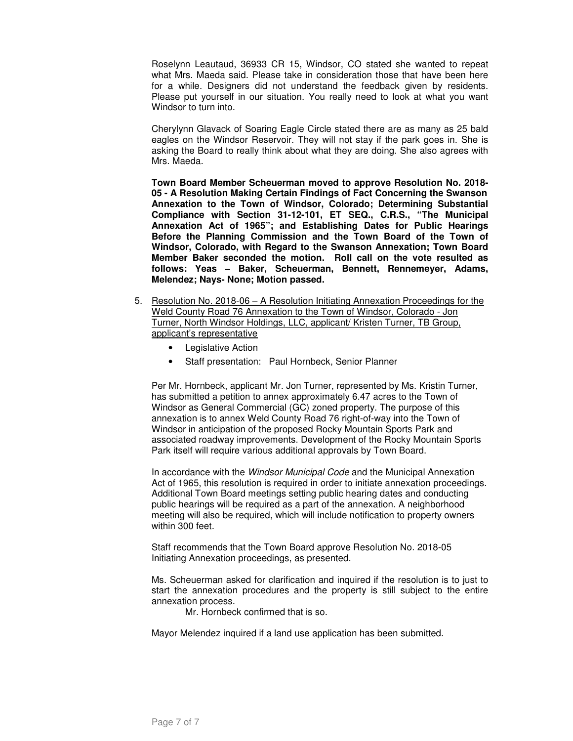Roselynn Leautaud, 36933 CR 15, Windsor, CO stated she wanted to repeat what Mrs. Maeda said. Please take in consideration those that have been here for a while. Designers did not understand the feedback given by residents. Please put yourself in our situation. You really need to look at what you want Windsor to turn into.

Cherylynn Glavack of Soaring Eagle Circle stated there are as many as 25 bald eagles on the Windsor Reservoir. They will not stay if the park goes in. She is asking the Board to really think about what they are doing. She also agrees with Mrs. Maeda.

**Town Board Member Scheuerman moved to approve Resolution No. 2018- 05 - A Resolution Making Certain Findings of Fact Concerning the Swanson Annexation to the Town of Windsor, Colorado; Determining Substantial Compliance with Section 31-12-101, ET SEQ., C.R.S., "The Municipal Annexation Act of 1965"; and Establishing Dates for Public Hearings Before the Planning Commission and the Town Board of the Town of Windsor, Colorado, with Regard to the Swanson Annexation; Town Board Member Baker seconded the motion. Roll call on the vote resulted as follows: Yeas – Baker, Scheuerman, Bennett, Rennemeyer, Adams, Melendez; Nays- None; Motion passed.**

- 5. Resolution No. 2018-06 A Resolution Initiating Annexation Proceedings for the Weld County Road 76 Annexation to the Town of Windsor, Colorado - Jon Turner, North Windsor Holdings, LLC, applicant/ Kristen Turner, TB Group, applicant's representative
	- Legislative Action
	- Staff presentation: Paul Hornbeck, Senior Planner

Per Mr. Hornbeck, applicant Mr. Jon Turner, represented by Ms. Kristin Turner, has submitted a petition to annex approximately 6.47 acres to the Town of Windsor as General Commercial (GC) zoned property. The purpose of this annexation is to annex Weld County Road 76 right-of-way into the Town of Windsor in anticipation of the proposed Rocky Mountain Sports Park and associated roadway improvements. Development of the Rocky Mountain Sports Park itself will require various additional approvals by Town Board.

In accordance with the *Windsor Municipal Code* and the Municipal Annexation Act of 1965, this resolution is required in order to initiate annexation proceedings. Additional Town Board meetings setting public hearing dates and conducting public hearings will be required as a part of the annexation. A neighborhood meeting will also be required, which will include notification to property owners within 300 feet.

Staff recommends that the Town Board approve Resolution No. 2018-05 Initiating Annexation proceedings, as presented.

Ms. Scheuerman asked for clarification and inquired if the resolution is to just to start the annexation procedures and the property is still subject to the entire annexation process.

Mr. Hornbeck confirmed that is so.

Mayor Melendez inquired if a land use application has been submitted.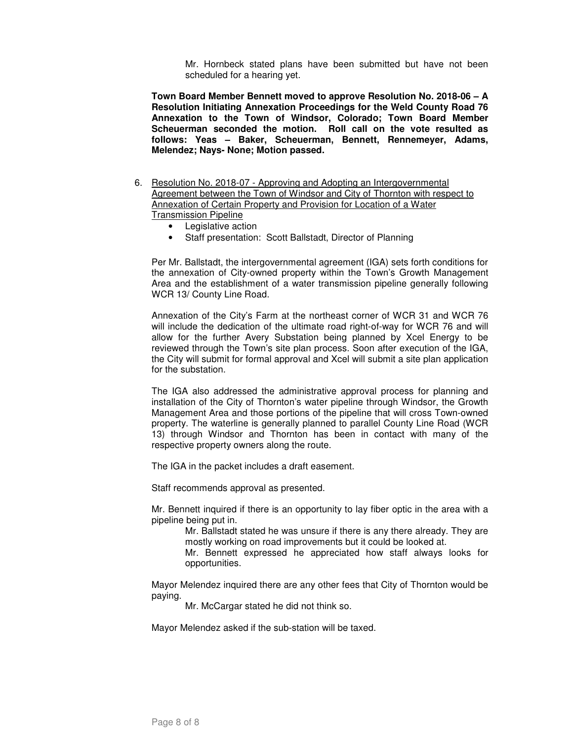Mr. Hornbeck stated plans have been submitted but have not been scheduled for a hearing yet.

**Town Board Member Bennett moved to approve Resolution No. 2018-06 – A Resolution Initiating Annexation Proceedings for the Weld County Road 76 Annexation to the Town of Windsor, Colorado; Town Board Member Scheuerman seconded the motion. Roll call on the vote resulted as follows: Yeas – Baker, Scheuerman, Bennett, Rennemeyer, Adams, Melendez; Nays- None; Motion passed.** 

- 6. Resolution No. 2018-07 Approving and Adopting an Intergovernmental Agreement between the Town of Windsor and City of Thornton with respect to Annexation of Certain Property and Provision for Location of a Water Transmission Pipeline
	- Legislative action
	- Staff presentation: Scott Ballstadt, Director of Planning

Per Mr. Ballstadt, the intergovernmental agreement (IGA) sets forth conditions for the annexation of City-owned property within the Town's Growth Management Area and the establishment of a water transmission pipeline generally following WCR 13/ County Line Road.

Annexation of the City's Farm at the northeast corner of WCR 31 and WCR 76 will include the dedication of the ultimate road right-of-way for WCR 76 and will allow for the further Avery Substation being planned by Xcel Energy to be reviewed through the Town's site plan process. Soon after execution of the IGA, the City will submit for formal approval and Xcel will submit a site plan application for the substation.

The IGA also addressed the administrative approval process for planning and installation of the City of Thornton's water pipeline through Windsor, the Growth Management Area and those portions of the pipeline that will cross Town-owned property. The waterline is generally planned to parallel County Line Road (WCR 13) through Windsor and Thornton has been in contact with many of the respective property owners along the route.

The IGA in the packet includes a draft easement.

Staff recommends approval as presented.

Mr. Bennett inquired if there is an opportunity to lay fiber optic in the area with a pipeline being put in.

Mr. Ballstadt stated he was unsure if there is any there already. They are mostly working on road improvements but it could be looked at.

Mr. Bennett expressed he appreciated how staff always looks for opportunities.

Mayor Melendez inquired there are any other fees that City of Thornton would be paying.

Mr. McCargar stated he did not think so.

Mayor Melendez asked if the sub-station will be taxed.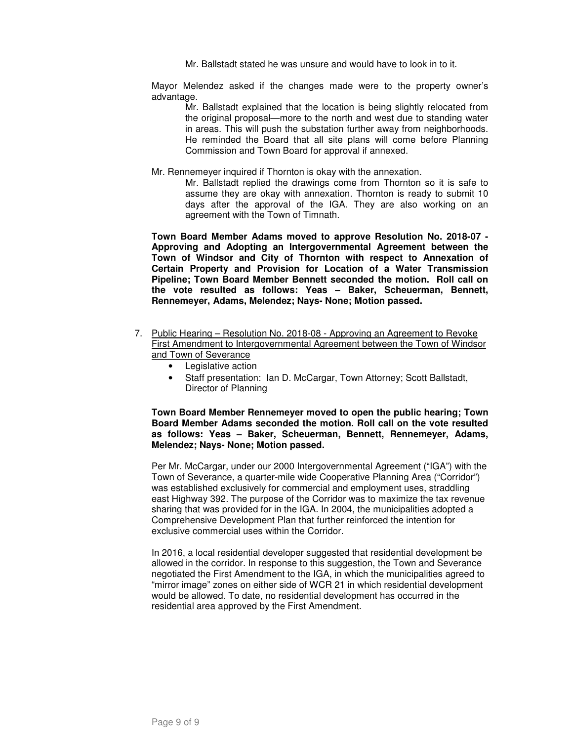Mr. Ballstadt stated he was unsure and would have to look in to it.

Mayor Melendez asked if the changes made were to the property owner's advantage.

Mr. Ballstadt explained that the location is being slightly relocated from the original proposal—more to the north and west due to standing water in areas. This will push the substation further away from neighborhoods. He reminded the Board that all site plans will come before Planning Commission and Town Board for approval if annexed.

Mr. Rennemeyer inquired if Thornton is okay with the annexation.

Mr. Ballstadt replied the drawings come from Thornton so it is safe to assume they are okay with annexation. Thornton is ready to submit 10 days after the approval of the IGA. They are also working on an agreement with the Town of Timnath.

**Town Board Member Adams moved to approve Resolution No. 2018-07 - Approving and Adopting an Intergovernmental Agreement between the Town of Windsor and City of Thornton with respect to Annexation of Certain Property and Provision for Location of a Water Transmission Pipeline; Town Board Member Bennett seconded the motion. Roll call on the vote resulted as follows: Yeas – Baker, Scheuerman, Bennett, Rennemeyer, Adams, Melendez; Nays- None; Motion passed.** 

- 7. Public Hearing Resolution No. 2018-08 Approving an Agreement to Revoke First Amendment to Intergovernmental Agreement between the Town of Windsor and Town of Severance
	- Legislative action
	- Staff presentation: Ian D. McCargar, Town Attorney; Scott Ballstadt, Director of Planning

**Town Board Member Rennemeyer moved to open the public hearing; Town Board Member Adams seconded the motion. Roll call on the vote resulted as follows: Yeas – Baker, Scheuerman, Bennett, Rennemeyer, Adams, Melendez; Nays- None; Motion passed.** 

Per Mr. McCargar, under our 2000 Intergovernmental Agreement ("IGA") with the Town of Severance, a quarter-mile wide Cooperative Planning Area ("Corridor") was established exclusively for commercial and employment uses, straddling east Highway 392. The purpose of the Corridor was to maximize the tax revenue sharing that was provided for in the IGA. In 2004, the municipalities adopted a Comprehensive Development Plan that further reinforced the intention for exclusive commercial uses within the Corridor.

In 2016, a local residential developer suggested that residential development be allowed in the corridor. In response to this suggestion, the Town and Severance negotiated the First Amendment to the IGA, in which the municipalities agreed to "mirror image" zones on either side of WCR 21 in which residential development would be allowed. To date, no residential development has occurred in the residential area approved by the First Amendment.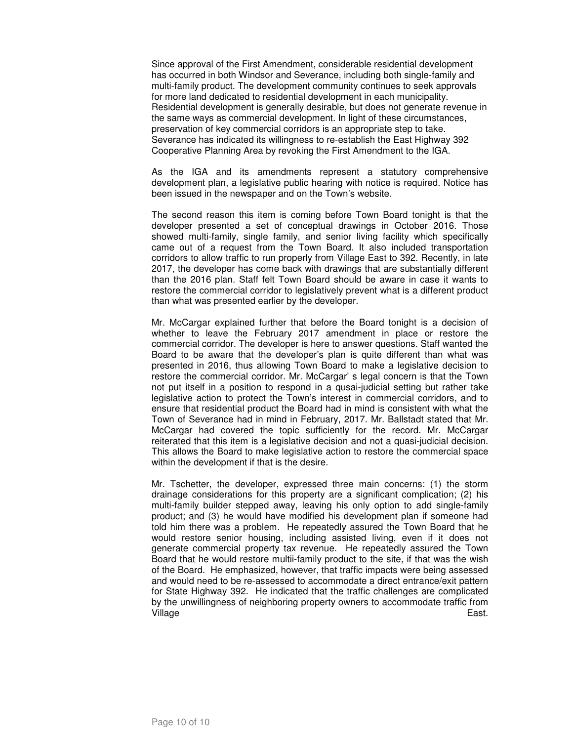Since approval of the First Amendment, considerable residential development has occurred in both Windsor and Severance, including both single-family and multi-family product. The development community continues to seek approvals for more land dedicated to residential development in each municipality. Residential development is generally desirable, but does not generate revenue in the same ways as commercial development. In light of these circumstances, preservation of key commercial corridors is an appropriate step to take. Severance has indicated its willingness to re-establish the East Highway 392 Cooperative Planning Area by revoking the First Amendment to the IGA.

As the IGA and its amendments represent a statutory comprehensive development plan, a legislative public hearing with notice is required. Notice has been issued in the newspaper and on the Town's website.

The second reason this item is coming before Town Board tonight is that the developer presented a set of conceptual drawings in October 2016. Those showed multi-family, single family, and senior living facility which specifically came out of a request from the Town Board. It also included transportation corridors to allow traffic to run properly from Village East to 392. Recently, in late 2017, the developer has come back with drawings that are substantially different than the 2016 plan. Staff felt Town Board should be aware in case it wants to restore the commercial corridor to legislatively prevent what is a different product than what was presented earlier by the developer.

Mr. McCargar explained further that before the Board tonight is a decision of whether to leave the February 2017 amendment in place or restore the commercial corridor. The developer is here to answer questions. Staff wanted the Board to be aware that the developer's plan is quite different than what was presented in 2016, thus allowing Town Board to make a legislative decision to restore the commercial corridor. Mr. McCargar' s legal concern is that the Town not put itself in a position to respond in a qusai-judicial setting but rather take legislative action to protect the Town's interest in commercial corridors, and to ensure that residential product the Board had in mind is consistent with what the Town of Severance had in mind in February, 2017. Mr. Ballstadt stated that Mr. McCargar had covered the topic sufficiently for the record. Mr. McCargar reiterated that this item is a legislative decision and not a quasi-judicial decision. This allows the Board to make legislative action to restore the commercial space within the development if that is the desire.

Mr. Tschetter, the developer, expressed three main concerns: (1) the storm drainage considerations for this property are a significant complication; (2) his multi-family builder stepped away, leaving his only option to add single-family product; and (3) he would have modified his development plan if someone had told him there was a problem. He repeatedly assured the Town Board that he would restore senior housing, including assisted living, even if it does not generate commercial property tax revenue. He repeatedly assured the Town Board that he would restore multii-family product to the site, if that was the wish of the Board. He emphasized, however, that traffic impacts were being assessed and would need to be re-assessed to accommodate a direct entrance/exit pattern for State Highway 392. He indicated that the traffic challenges are complicated by the unwillingness of neighboring property owners to accommodate traffic from Village East.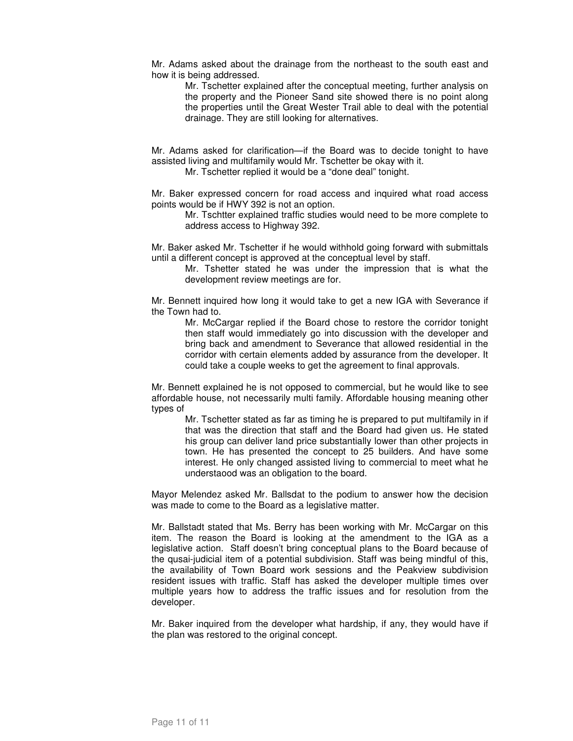Mr. Adams asked about the drainage from the northeast to the south east and how it is being addressed.

> Mr. Tschetter explained after the conceptual meeting, further analysis on the property and the Pioneer Sand site showed there is no point along the properties until the Great Wester Trail able to deal with the potential drainage. They are still looking for alternatives.

Mr. Adams asked for clarification—if the Board was to decide tonight to have assisted living and multifamily would Mr. Tschetter be okay with it.

Mr. Tschetter replied it would be a "done deal" tonight.

Mr. Baker expressed concern for road access and inquired what road access points would be if HWY 392 is not an option.

Mr. Tschtter explained traffic studies would need to be more complete to address access to Highway 392.

Mr. Baker asked Mr. Tschetter if he would withhold going forward with submittals until a different concept is approved at the conceptual level by staff.

Mr. Tshetter stated he was under the impression that is what the development review meetings are for.

Mr. Bennett inquired how long it would take to get a new IGA with Severance if the Town had to.

Mr. McCargar replied if the Board chose to restore the corridor tonight then staff would immediately go into discussion with the developer and bring back and amendment to Severance that allowed residential in the corridor with certain elements added by assurance from the developer. It could take a couple weeks to get the agreement to final approvals.

Mr. Bennett explained he is not opposed to commercial, but he would like to see affordable house, not necessarily multi family. Affordable housing meaning other types of

Mr. Tschetter stated as far as timing he is prepared to put multifamily in if that was the direction that staff and the Board had given us. He stated his group can deliver land price substantially lower than other projects in town. He has presented the concept to 25 builders. And have some interest. He only changed assisted living to commercial to meet what he understaood was an obligation to the board.

Mayor Melendez asked Mr. Ballsdat to the podium to answer how the decision was made to come to the Board as a legislative matter.

Mr. Ballstadt stated that Ms. Berry has been working with Mr. McCargar on this item. The reason the Board is looking at the amendment to the IGA as a legislative action. Staff doesn't bring conceptual plans to the Board because of the qusai-judicial item of a potential subdivision. Staff was being mindful of this, the availability of Town Board work sessions and the Peakview subdivision resident issues with traffic. Staff has asked the developer multiple times over multiple years how to address the traffic issues and for resolution from the developer.

Mr. Baker inquired from the developer what hardship, if any, they would have if the plan was restored to the original concept.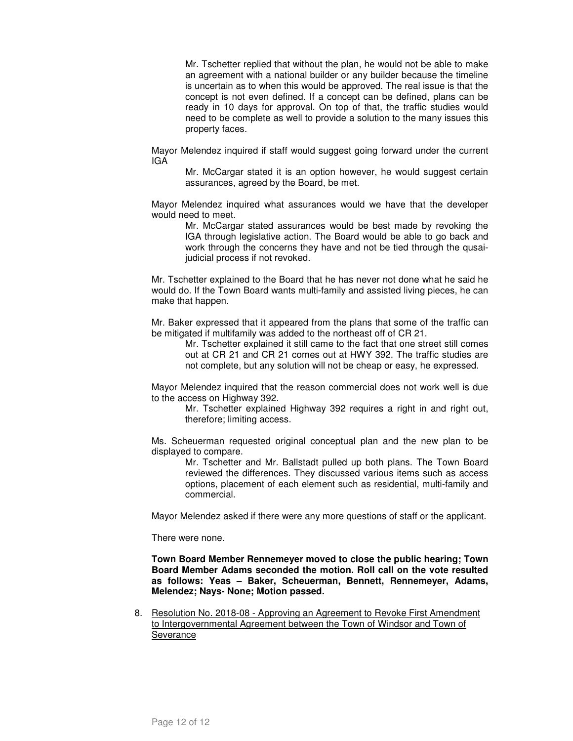Mr. Tschetter replied that without the plan, he would not be able to make an agreement with a national builder or any builder because the timeline is uncertain as to when this would be approved. The real issue is that the concept is not even defined. If a concept can be defined, plans can be ready in 10 days for approval. On top of that, the traffic studies would need to be complete as well to provide a solution to the many issues this property faces.

Mayor Melendez inquired if staff would suggest going forward under the current IGA

Mr. McCargar stated it is an option however, he would suggest certain assurances, agreed by the Board, be met.

Mayor Melendez inquired what assurances would we have that the developer would need to meet.

Mr. McCargar stated assurances would be best made by revoking the IGA through legislative action. The Board would be able to go back and work through the concerns they have and not be tied through the qusaijudicial process if not revoked.

Mr. Tschetter explained to the Board that he has never not done what he said he would do. If the Town Board wants multi-family and assisted living pieces, he can make that happen.

Mr. Baker expressed that it appeared from the plans that some of the traffic can be mitigated if multifamily was added to the northeast off of CR 21.

Mr. Tschetter explained it still came to the fact that one street still comes out at CR 21 and CR 21 comes out at HWY 392. The traffic studies are not complete, but any solution will not be cheap or easy, he expressed.

Mayor Melendez inquired that the reason commercial does not work well is due to the access on Highway 392.

Mr. Tschetter explained Highway 392 requires a right in and right out, therefore; limiting access.

Ms. Scheuerman requested original conceptual plan and the new plan to be displayed to compare.

Mr. Tschetter and Mr. Ballstadt pulled up both plans. The Town Board reviewed the differences. They discussed various items such as access options, placement of each element such as residential, multi-family and commercial.

Mayor Melendez asked if there were any more questions of staff or the applicant.

There were none.

**Town Board Member Rennemeyer moved to close the public hearing; Town Board Member Adams seconded the motion. Roll call on the vote resulted as follows: Yeas – Baker, Scheuerman, Bennett, Rennemeyer, Adams, Melendez; Nays- None; Motion passed.** 

8. Resolution No. 2018-08 - Approving an Agreement to Revoke First Amendment to Intergovernmental Agreement between the Town of Windsor and Town of Severance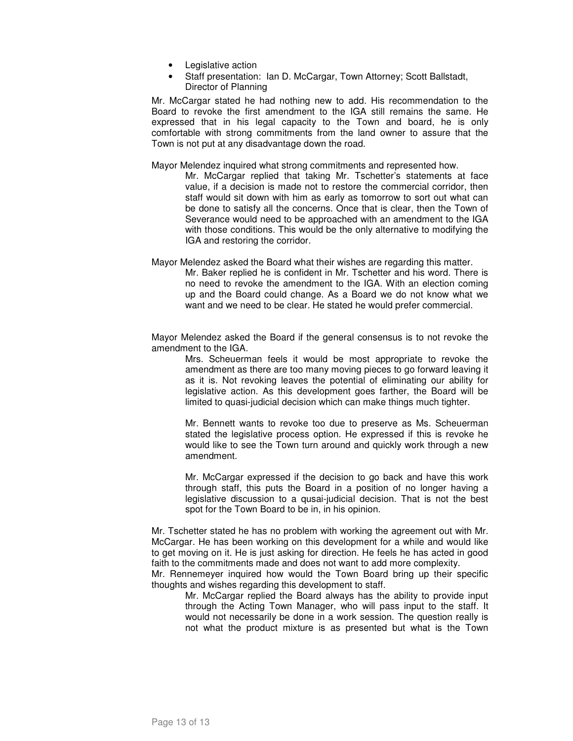- Legislative action
- Staff presentation: Ian D. McCargar, Town Attorney; Scott Ballstadt, Director of Planning

Mr. McCargar stated he had nothing new to add. His recommendation to the Board to revoke the first amendment to the IGA still remains the same. He expressed that in his legal capacity to the Town and board, he is only comfortable with strong commitments from the land owner to assure that the Town is not put at any disadvantage down the road.

Mayor Melendez inquired what strong commitments and represented how.

- Mr. McCargar replied that taking Mr. Tschetter's statements at face value, if a decision is made not to restore the commercial corridor, then staff would sit down with him as early as tomorrow to sort out what can be done to satisfy all the concerns. Once that is clear, then the Town of Severance would need to be approached with an amendment to the IGA with those conditions. This would be the only alternative to modifying the IGA and restoring the corridor.
- Mayor Melendez asked the Board what their wishes are regarding this matter.

Mr. Baker replied he is confident in Mr. Tschetter and his word. There is no need to revoke the amendment to the IGA. With an election coming up and the Board could change. As a Board we do not know what we want and we need to be clear. He stated he would prefer commercial.

Mayor Melendez asked the Board if the general consensus is to not revoke the amendment to the IGA.

> Mrs. Scheuerman feels it would be most appropriate to revoke the amendment as there are too many moving pieces to go forward leaving it as it is. Not revoking leaves the potential of eliminating our ability for legislative action. As this development goes farther, the Board will be limited to quasi-judicial decision which can make things much tighter.

> Mr. Bennett wants to revoke too due to preserve as Ms. Scheuerman stated the legislative process option. He expressed if this is revoke he would like to see the Town turn around and quickly work through a new amendment.

> Mr. McCargar expressed if the decision to go back and have this work through staff, this puts the Board in a position of no longer having a legislative discussion to a qusai-judicial decision. That is not the best spot for the Town Board to be in, in his opinion.

Mr. Tschetter stated he has no problem with working the agreement out with Mr. McCargar. He has been working on this development for a while and would like to get moving on it. He is just asking for direction. He feels he has acted in good faith to the commitments made and does not want to add more complexity.

Mr. Rennemeyer inquired how would the Town Board bring up their specific thoughts and wishes regarding this development to staff.

Mr. McCargar replied the Board always has the ability to provide input through the Acting Town Manager, who will pass input to the staff. It would not necessarily be done in a work session. The question really is not what the product mixture is as presented but what is the Town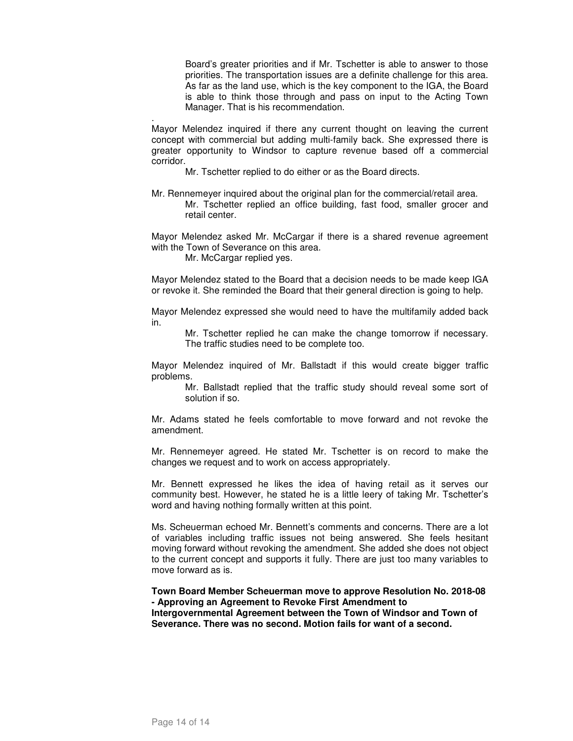Board's greater priorities and if Mr. Tschetter is able to answer to those priorities. The transportation issues are a definite challenge for this area. As far as the land use, which is the key component to the IGA, the Board is able to think those through and pass on input to the Acting Town Manager. That is his recommendation.

. Mayor Melendez inquired if there any current thought on leaving the current concept with commercial but adding multi-family back. She expressed there is greater opportunity to Windsor to capture revenue based off a commercial corridor.

Mr. Tschetter replied to do either or as the Board directs.

Mr. Rennemeyer inquired about the original plan for the commercial/retail area. Mr. Tschetter replied an office building, fast food, smaller grocer and retail center.

Mayor Melendez asked Mr. McCargar if there is a shared revenue agreement with the Town of Severance on this area.

Mr. McCargar replied yes.

Mayor Melendez stated to the Board that a decision needs to be made keep IGA or revoke it. She reminded the Board that their general direction is going to help.

Mayor Melendez expressed she would need to have the multifamily added back in.

Mr. Tschetter replied he can make the change tomorrow if necessary. The traffic studies need to be complete too.

Mayor Melendez inquired of Mr. Ballstadt if this would create bigger traffic problems.

Mr. Ballstadt replied that the traffic study should reveal some sort of solution if so.

Mr. Adams stated he feels comfortable to move forward and not revoke the amendment.

Mr. Rennemeyer agreed. He stated Mr. Tschetter is on record to make the changes we request and to work on access appropriately.

Mr. Bennett expressed he likes the idea of having retail as it serves our community best. However, he stated he is a little leery of taking Mr. Tschetter's word and having nothing formally written at this point.

Ms. Scheuerman echoed Mr. Bennett's comments and concerns. There are a lot of variables including traffic issues not being answered. She feels hesitant moving forward without revoking the amendment. She added she does not object to the current concept and supports it fully. There are just too many variables to move forward as is.

**Town Board Member Scheuerman move to approve Resolution No. 2018-08 - Approving an Agreement to Revoke First Amendment to Intergovernmental Agreement between the Town of Windsor and Town of Severance. There was no second. Motion fails for want of a second.**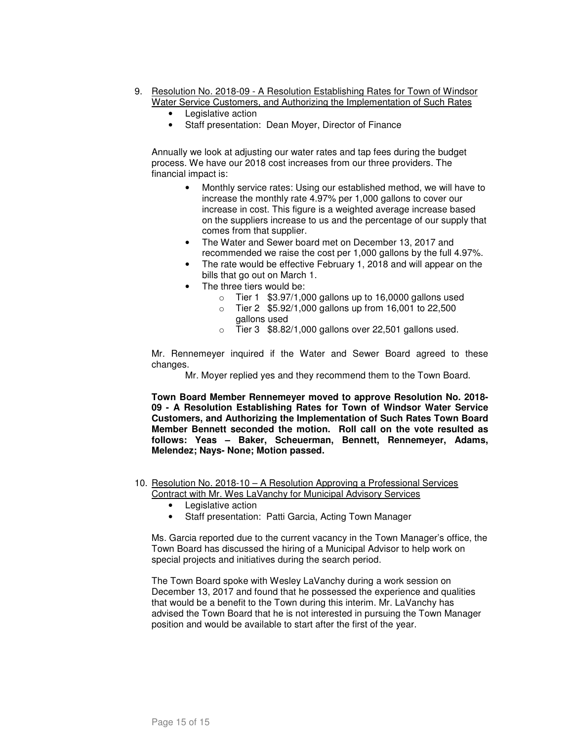- 9. Resolution No. 2018-09 A Resolution Establishing Rates for Town of Windsor Water Service Customers, and Authorizing the Implementation of Such Rates
	- Legislative action
	- Staff presentation: Dean Moyer, Director of Finance

Annually we look at adjusting our water rates and tap fees during the budget process. We have our 2018 cost increases from our three providers. The financial impact is:

- Monthly service rates: Using our established method, we will have to increase the monthly rate 4.97% per 1,000 gallons to cover our increase in cost. This figure is a weighted average increase based on the suppliers increase to us and the percentage of our supply that comes from that supplier.
- The Water and Sewer board met on December 13, 2017 and recommended we raise the cost per 1,000 gallons by the full 4.97%.
- The rate would be effective February 1, 2018 and will appear on the bills that go out on March 1.
- The three tiers would be:
	- $\circ$  Tier 1 \$3.97/1,000 gallons up to 16,0000 gallons used
	- o Tier 2 \$5.92/1,000 gallons up from 16,001 to 22,500 gallons used
	- $\circ$  Tier 3  $$8.82/1,000$  gallons over 22,501 gallons used.

Mr. Rennemeyer inquired if the Water and Sewer Board agreed to these changes.

Mr. Moyer replied yes and they recommend them to the Town Board.

**Town Board Member Rennemeyer moved to approve Resolution No. 2018- 09 - A Resolution Establishing Rates for Town of Windsor Water Service Customers, and Authorizing the Implementation of Such Rates Town Board Member Bennett seconded the motion. Roll call on the vote resulted as follows: Yeas – Baker, Scheuerman, Bennett, Rennemeyer, Adams, Melendez; Nays- None; Motion passed.** 

- 10. Resolution No. 2018-10 A Resolution Approving a Professional Services Contract with Mr. Wes LaVanchy for Municipal Advisory Services
	- Legislative action
	- Staff presentation: Patti Garcia, Acting Town Manager

Ms. Garcia reported due to the current vacancy in the Town Manager's office, the Town Board has discussed the hiring of a Municipal Advisor to help work on special projects and initiatives during the search period.

The Town Board spoke with Wesley LaVanchy during a work session on December 13, 2017 and found that he possessed the experience and qualities that would be a benefit to the Town during this interim. Mr. LaVanchy has advised the Town Board that he is not interested in pursuing the Town Manager position and would be available to start after the first of the year.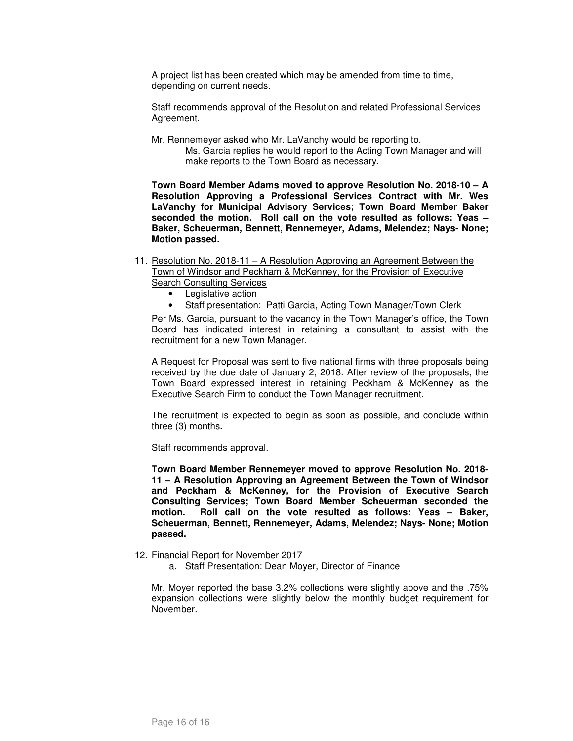A project list has been created which may be amended from time to time, depending on current needs.

Staff recommends approval of the Resolution and related Professional Services Agreement.

- Mr. Rennemeyer asked who Mr. LaVanchy would be reporting to.
	- Ms. Garcia replies he would report to the Acting Town Manager and will make reports to the Town Board as necessary.

**Town Board Member Adams moved to approve Resolution No. 2018-10 – A Resolution Approving a Professional Services Contract with Mr. Wes LaVanchy for Municipal Advisory Services; Town Board Member Baker seconded the motion. Roll call on the vote resulted as follows: Yeas – Baker, Scheuerman, Bennett, Rennemeyer, Adams, Melendez; Nays- None; Motion passed.** 

- 11. Resolution No. 2018-11 A Resolution Approving an Agreement Between the Town of Windsor and Peckham & McKenney, for the Provision of Executive **Search Consulting Services** 
	- Legislative action
	- Staff presentation: Patti Garcia, Acting Town Manager/Town Clerk

Per Ms. Garcia, pursuant to the vacancy in the Town Manager's office, the Town Board has indicated interest in retaining a consultant to assist with the recruitment for a new Town Manager.

A Request for Proposal was sent to five national firms with three proposals being received by the due date of January 2, 2018. After review of the proposals, the Town Board expressed interest in retaining Peckham & McKenney as the Executive Search Firm to conduct the Town Manager recruitment.

The recruitment is expected to begin as soon as possible, and conclude within three (3) months**.** 

Staff recommends approval.

**Town Board Member Rennemeyer moved to approve Resolution No. 2018- 11 – A Resolution Approving an Agreement Between the Town of Windsor and Peckham & McKenney, for the Provision of Executive Search Consulting Services; Town Board Member Scheuerman seconded the motion. Roll call on the vote resulted as follows: Yeas – Baker, Scheuerman, Bennett, Rennemeyer, Adams, Melendez; Nays- None; Motion passed.** 

12. Financial Report for November 2017

a. Staff Presentation: Dean Moyer, Director of Finance

Mr. Moyer reported the base 3.2% collections were slightly above and the .75% expansion collections were slightly below the monthly budget requirement for November.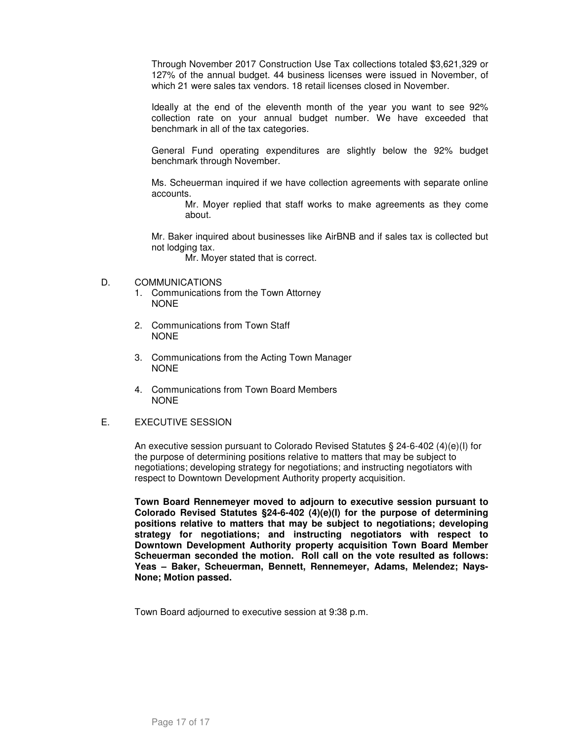Through November 2017 Construction Use Tax collections totaled \$3,621,329 or 127% of the annual budget. 44 business licenses were issued in November, of which 21 were sales tax vendors. 18 retail licenses closed in November.

Ideally at the end of the eleventh month of the year you want to see 92% collection rate on your annual budget number. We have exceeded that benchmark in all of the tax categories.

General Fund operating expenditures are slightly below the 92% budget benchmark through November.

Ms. Scheuerman inquired if we have collection agreements with separate online accounts.

Mr. Moyer replied that staff works to make agreements as they come about.

Mr. Baker inquired about businesses like AirBNB and if sales tax is collected but not lodging tax.

Mr. Moyer stated that is correct.

- D. COMMUNICATIONS
	- 1. Communications from the Town Attorney NONE
	- 2. Communications from Town Staff NONE
	- 3. Communications from the Acting Town Manager NONE
	- 4. Communications from Town Board Members NONE

## E. EXECUTIVE SESSION

An executive session pursuant to Colorado Revised Statutes § 24-6-402 (4)(e)(I) for the purpose of determining positions relative to matters that may be subject to negotiations; developing strategy for negotiations; and instructing negotiators with respect to Downtown Development Authority property acquisition.

**Town Board Rennemeyer moved to adjourn to executive session pursuant to Colorado Revised Statutes §24-6-402 (4)(e)(I) for the purpose of determining positions relative to matters that may be subject to negotiations; developing strategy for negotiations; and instructing negotiators with respect to Downtown Development Authority property acquisition Town Board Member Scheuerman seconded the motion. Roll call on the vote resulted as follows: Yeas – Baker, Scheuerman, Bennett, Rennemeyer, Adams, Melendez; Nays-None; Motion passed.** 

Town Board adjourned to executive session at 9:38 p.m.